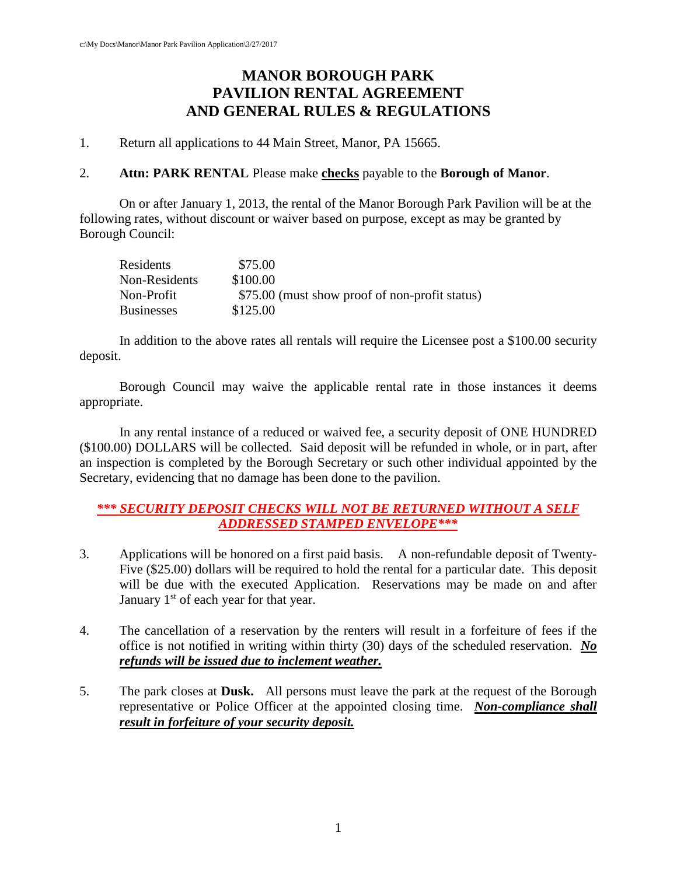# **MANOR BOROUGH PARK PAVILION RENTAL AGREEMENT AND GENERAL RULES & REGULATIONS**

1. Return all applications to 44 Main Street, Manor, PA 15665.

#### 2. **Attn: PARK RENTAL** Please make **checks** payable to the **Borough of Manor**.

On or after January 1, 2013, the rental of the Manor Borough Park Pavilion will be at the following rates, without discount or waiver based on purpose, except as may be granted by Borough Council:

| Residents         | \$75.00                                        |
|-------------------|------------------------------------------------|
| Non-Residents     | \$100.00                                       |
| Non-Profit        | \$75.00 (must show proof of non-profit status) |
| <b>Businesses</b> | \$125.00                                       |

In addition to the above rates all rentals will require the Licensee post a \$100.00 security deposit.

Borough Council may waive the applicable rental rate in those instances it deems appropriate.

In any rental instance of a reduced or waived fee, a security deposit of ONE HUNDRED (\$100.00) DOLLARS will be collected. Said deposit will be refunded in whole, or in part, after an inspection is completed by the Borough Secretary or such other individual appointed by the Secretary, evidencing that no damage has been done to the pavilion.

## *\*\*\* SECURITY DEPOSIT CHECKS WILL NOT BE RETURNED WITHOUT A SELF ADDRESSED STAMPED ENVELOPE\*\*\**

- 3. Applications will be honored on a first paid basis. A non-refundable deposit of Twenty-Five (\$25.00) dollars will be required to hold the rental for a particular date. This deposit will be due with the executed Application. Reservations may be made on and after January  $1<sup>st</sup>$  of each year for that year.
- 4. The cancellation of a reservation by the renters will result in a forfeiture of fees if the office is not notified in writing within thirty (30) days of the scheduled reservation. *No refunds will be issued due to inclement weather.*
- 5. The park closes at **Dusk.** All persons must leave the park at the request of the Borough representative or Police Officer at the appointed closing time. *Non-compliance shall result in forfeiture of your security deposit.*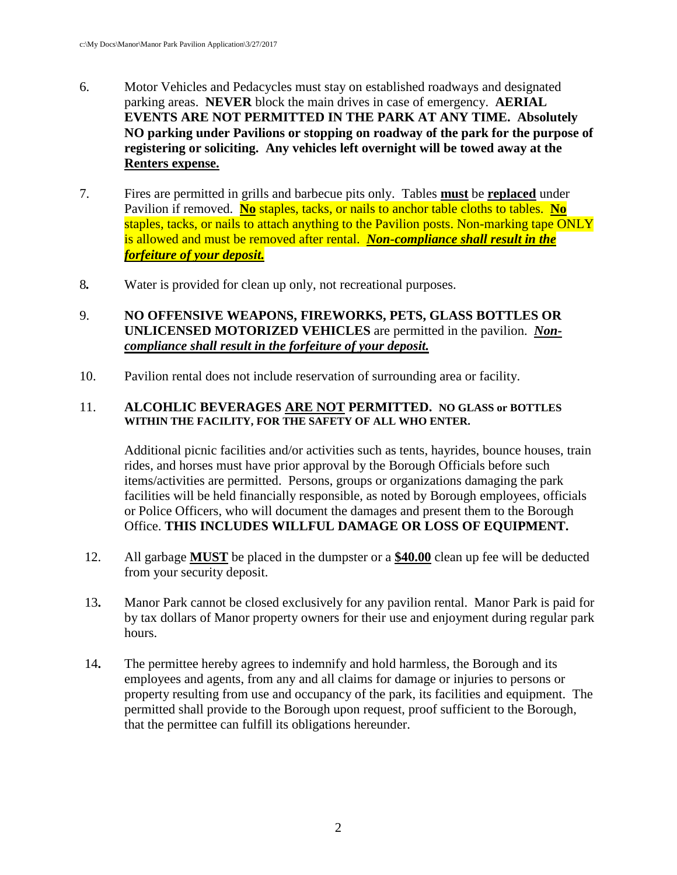- 6. Motor Vehicles and Pedacycles must stay on established roadways and designated parking areas. **NEVER** block the main drives in case of emergency. **AERIAL EVENTS ARE NOT PERMITTED IN THE PARK AT ANY TIME. Absolutely NO parking under Pavilions or stopping on roadway of the park for the purpose of registering or soliciting. Any vehicles left overnight will be towed away at the Renters expense.**
- 7. Fires are permitted in grills and barbecue pits only. Tables **must** be **replaced** under Pavilion if removed. **No** staples, tacks, or nails to anchor table cloths to tables. **No** staples, tacks, or nails to attach anything to the Pavilion posts. Non-marking tape ONLY is allowed and must be removed after rental. *Non-compliance shall result in the forfeiture of your deposit.*
- 8*.* Water is provided for clean up only, not recreational purposes.

## 9. **NO OFFENSIVE WEAPONS, FIREWORKS, PETS, GLASS BOTTLES OR UNLICENSED MOTORIZED VEHICLES** are permitted in the pavilion. *Noncompliance shall result in the forfeiture of your deposit.*

10. Pavilion rental does not include reservation of surrounding area or facility.

#### 11. **ALCOHLIC BEVERAGES ARE NOT PERMITTED. NO GLASS or BOTTLES WITHIN THE FACILITY, FOR THE SAFETY OF ALL WHO ENTER.**

Additional picnic facilities and/or activities such as tents, hayrides, bounce houses, train rides, and horses must have prior approval by the Borough Officials before such items/activities are permitted. Persons, groups or organizations damaging the park facilities will be held financially responsible, as noted by Borough employees, officials or Police Officers, who will document the damages and present them to the Borough Office. **THIS INCLUDES WILLFUL DAMAGE OR LOSS OF EQUIPMENT.**

- 12. All garbage **MUST** be placed in the dumpster or a **\$40.00** clean up fee will be deducted from your security deposit.
- 13**.** Manor Park cannot be closed exclusively for any pavilion rental. Manor Park is paid for by tax dollars of Manor property owners for their use and enjoyment during regular park hours.
- 14**.** The permittee hereby agrees to indemnify and hold harmless, the Borough and its employees and agents, from any and all claims for damage or injuries to persons or property resulting from use and occupancy of the park, its facilities and equipment. The permitted shall provide to the Borough upon request, proof sufficient to the Borough, that the permittee can fulfill its obligations hereunder.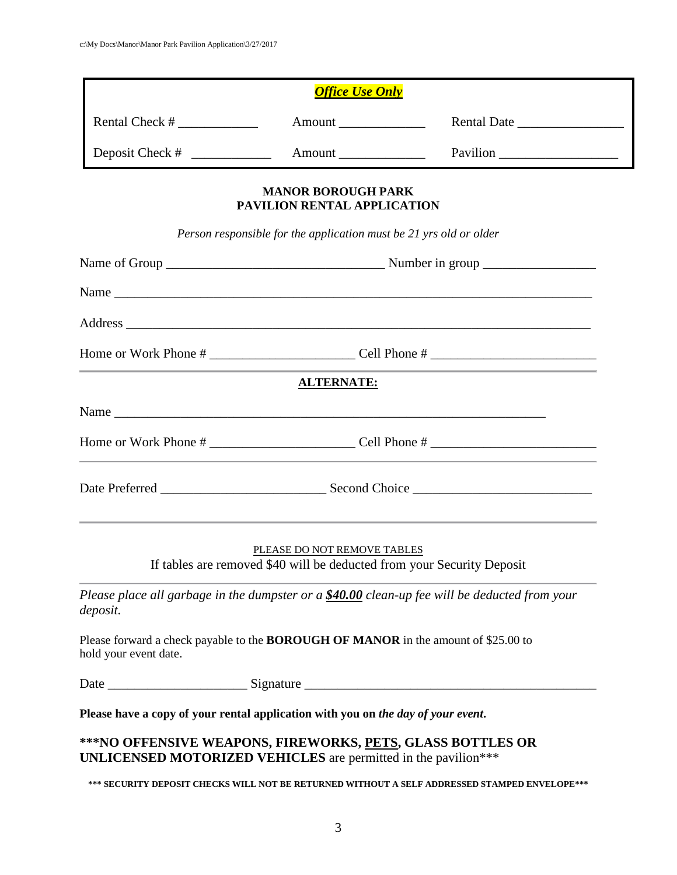|                                                                                                                               | <b>Office Use Only</b>                                                                                |                                                                                                                                                        |  |
|-------------------------------------------------------------------------------------------------------------------------------|-------------------------------------------------------------------------------------------------------|--------------------------------------------------------------------------------------------------------------------------------------------------------|--|
|                                                                                                                               | Amount                                                                                                | Rental Date                                                                                                                                            |  |
|                                                                                                                               |                                                                                                       | Pavilion                                                                                                                                               |  |
|                                                                                                                               | <b>MANOR BOROUGH PARK</b><br>PAVILION RENTAL APPLICATION                                              |                                                                                                                                                        |  |
|                                                                                                                               | Person responsible for the application must be 21 yrs old or older                                    |                                                                                                                                                        |  |
|                                                                                                                               |                                                                                                       |                                                                                                                                                        |  |
|                                                                                                                               |                                                                                                       |                                                                                                                                                        |  |
|                                                                                                                               |                                                                                                       |                                                                                                                                                        |  |
|                                                                                                                               |                                                                                                       |                                                                                                                                                        |  |
|                                                                                                                               | <b>ALTERNATE:</b>                                                                                     |                                                                                                                                                        |  |
|                                                                                                                               |                                                                                                       |                                                                                                                                                        |  |
|                                                                                                                               |                                                                                                       |                                                                                                                                                        |  |
|                                                                                                                               |                                                                                                       |                                                                                                                                                        |  |
|                                                                                                                               | PLEASE DO NOT REMOVE TABLES<br>If tables are removed \$40 will be deducted from your Security Deposit | ,我们也不能在这里的时候,我们也不能会在这里,我们也不能会在这里,我们也不能会在这里,我们也不能会在这里,我们也不能会不能会不能会。<br>第2012章 我们的时候,我们的时候,我们的时候,我们的时候,我们的时候,我们的时候,我们的时候,我们的时候,我们的时候,我们的时候,我们的时候,我们的时候,我 |  |
| deposit.                                                                                                                      |                                                                                                       | Please place all garbage in the dumpster or a \$40.00 clean-up fee will be deducted from your                                                          |  |
| Please forward a check payable to the <b>BOROUGH OF MANOR</b> in the amount of \$25.00 to<br>hold your event date.            |                                                                                                       |                                                                                                                                                        |  |
|                                                                                                                               |                                                                                                       |                                                                                                                                                        |  |
| Please have a copy of your rental application with you on the day of your event.                                              |                                                                                                       |                                                                                                                                                        |  |
| *** NO OFFENSIVE WEAPONS, FIREWORKS, PETS, GLASS BOTTLES OR<br>UNLICENSED MOTORIZED VEHICLES are permitted in the pavilion*** |                                                                                                       |                                                                                                                                                        |  |

**\*\*\* SECURITY DEPOSIT CHECKS WILL NOT BE RETURNED WITHOUT A SELF ADDRESSED STAMPED ENVELOPE\*\*\***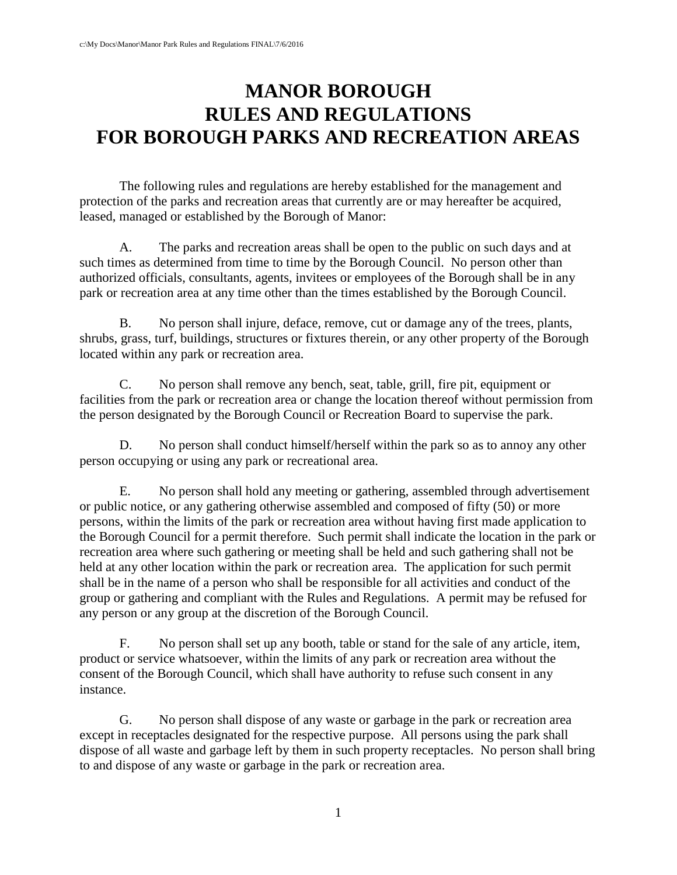# **MANOR BOROUGH RULES AND REGULATIONS FOR BOROUGH PARKS AND RECREATION AREAS**

The following rules and regulations are hereby established for the management and protection of the parks and recreation areas that currently are or may hereafter be acquired, leased, managed or established by the Borough of Manor:

A. The parks and recreation areas shall be open to the public on such days and at such times as determined from time to time by the Borough Council. No person other than authorized officials, consultants, agents, invitees or employees of the Borough shall be in any park or recreation area at any time other than the times established by the Borough Council.

B. No person shall injure, deface, remove, cut or damage any of the trees, plants, shrubs, grass, turf, buildings, structures or fixtures therein, or any other property of the Borough located within any park or recreation area.

C. No person shall remove any bench, seat, table, grill, fire pit, equipment or facilities from the park or recreation area or change the location thereof without permission from the person designated by the Borough Council or Recreation Board to supervise the park.

D. No person shall conduct himself/herself within the park so as to annoy any other person occupying or using any park or recreational area.

E. No person shall hold any meeting or gathering, assembled through advertisement or public notice, or any gathering otherwise assembled and composed of fifty (50) or more persons, within the limits of the park or recreation area without having first made application to the Borough Council for a permit therefore. Such permit shall indicate the location in the park or recreation area where such gathering or meeting shall be held and such gathering shall not be held at any other location within the park or recreation area. The application for such permit shall be in the name of a person who shall be responsible for all activities and conduct of the group or gathering and compliant with the Rules and Regulations. A permit may be refused for any person or any group at the discretion of the Borough Council.

F. No person shall set up any booth, table or stand for the sale of any article, item, product or service whatsoever, within the limits of any park or recreation area without the consent of the Borough Council, which shall have authority to refuse such consent in any instance.

G. No person shall dispose of any waste or garbage in the park or recreation area except in receptacles designated for the respective purpose. All persons using the park shall dispose of all waste and garbage left by them in such property receptacles. No person shall bring to and dispose of any waste or garbage in the park or recreation area.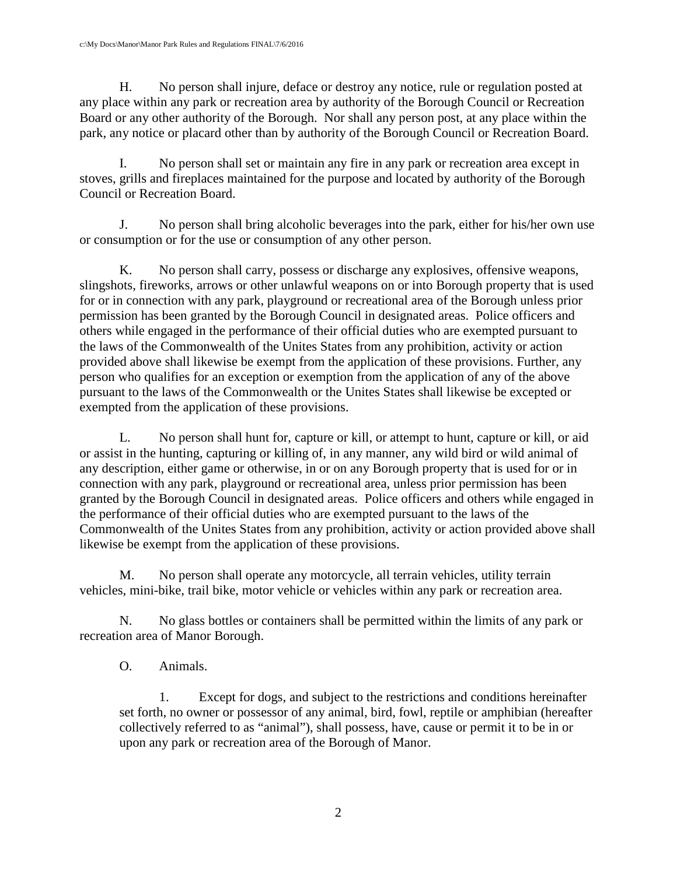H. No person shall injure, deface or destroy any notice, rule or regulation posted at any place within any park or recreation area by authority of the Borough Council or Recreation Board or any other authority of the Borough. Nor shall any person post, at any place within the park, any notice or placard other than by authority of the Borough Council or Recreation Board.

I. No person shall set or maintain any fire in any park or recreation area except in stoves, grills and fireplaces maintained for the purpose and located by authority of the Borough Council or Recreation Board.

J. No person shall bring alcoholic beverages into the park, either for his/her own use or consumption or for the use or consumption of any other person.

K. No person shall carry, possess or discharge any explosives, offensive weapons, slingshots, fireworks, arrows or other unlawful weapons on or into Borough property that is used for or in connection with any park, playground or recreational area of the Borough unless prior permission has been granted by the Borough Council in designated areas. Police officers and others while engaged in the performance of their official duties who are exempted pursuant to the laws of the Commonwealth of the Unites States from any prohibition, activity or action provided above shall likewise be exempt from the application of these provisions. Further, any person who qualifies for an exception or exemption from the application of any of the above pursuant to the laws of the Commonwealth or the Unites States shall likewise be excepted or exempted from the application of these provisions.

L. No person shall hunt for, capture or kill, or attempt to hunt, capture or kill, or aid or assist in the hunting, capturing or killing of, in any manner, any wild bird or wild animal of any description, either game or otherwise, in or on any Borough property that is used for or in connection with any park, playground or recreational area, unless prior permission has been granted by the Borough Council in designated areas. Police officers and others while engaged in the performance of their official duties who are exempted pursuant to the laws of the Commonwealth of the Unites States from any prohibition, activity or action provided above shall likewise be exempt from the application of these provisions.

M. No person shall operate any motorcycle, all terrain vehicles, utility terrain vehicles, mini-bike, trail bike, motor vehicle or vehicles within any park or recreation area.

N. No glass bottles or containers shall be permitted within the limits of any park or recreation area of Manor Borough.

O. Animals.

1. Except for dogs, and subject to the restrictions and conditions hereinafter set forth, no owner or possessor of any animal, bird, fowl, reptile or amphibian (hereafter collectively referred to as "animal"), shall possess, have, cause or permit it to be in or upon any park or recreation area of the Borough of Manor.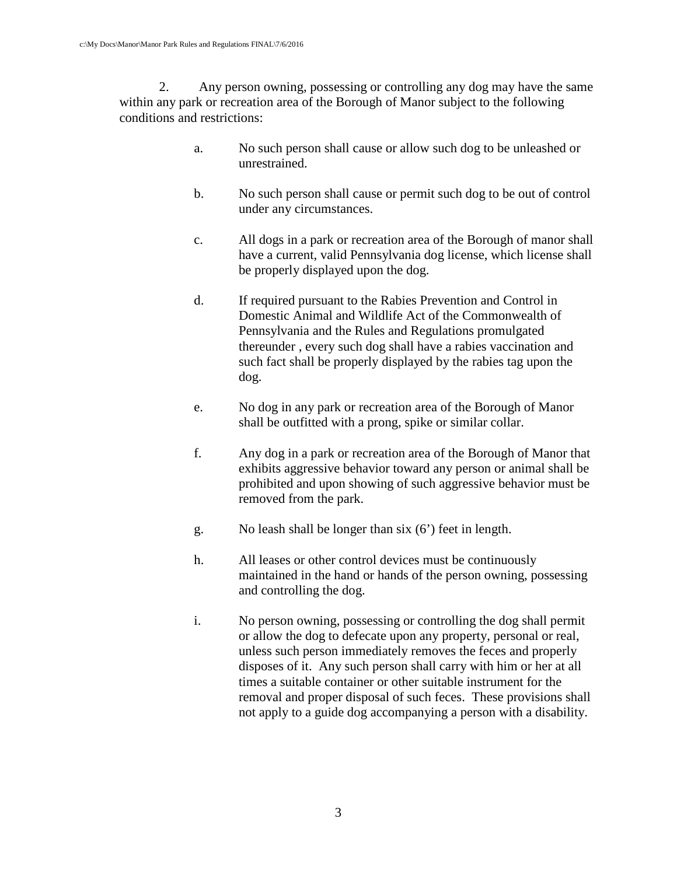2. Any person owning, possessing or controlling any dog may have the same within any park or recreation area of the Borough of Manor subject to the following conditions and restrictions:

- a. No such person shall cause or allow such dog to be unleashed or unrestrained.
- b. No such person shall cause or permit such dog to be out of control under any circumstances.
- c. All dogs in a park or recreation area of the Borough of manor shall have a current, valid Pennsylvania dog license, which license shall be properly displayed upon the dog.
- d. If required pursuant to the Rabies Prevention and Control in Domestic Animal and Wildlife Act of the Commonwealth of Pennsylvania and the Rules and Regulations promulgated thereunder , every such dog shall have a rabies vaccination and such fact shall be properly displayed by the rabies tag upon the dog.
- e. No dog in any park or recreation area of the Borough of Manor shall be outfitted with a prong, spike or similar collar.
- f. Any dog in a park or recreation area of the Borough of Manor that exhibits aggressive behavior toward any person or animal shall be prohibited and upon showing of such aggressive behavior must be removed from the park.
- g. No leash shall be longer than six (6') feet in length.
- h. All leases or other control devices must be continuously maintained in the hand or hands of the person owning, possessing and controlling the dog.
- i. No person owning, possessing or controlling the dog shall permit or allow the dog to defecate upon any property, personal or real, unless such person immediately removes the feces and properly disposes of it. Any such person shall carry with him or her at all times a suitable container or other suitable instrument for the removal and proper disposal of such feces. These provisions shall not apply to a guide dog accompanying a person with a disability.